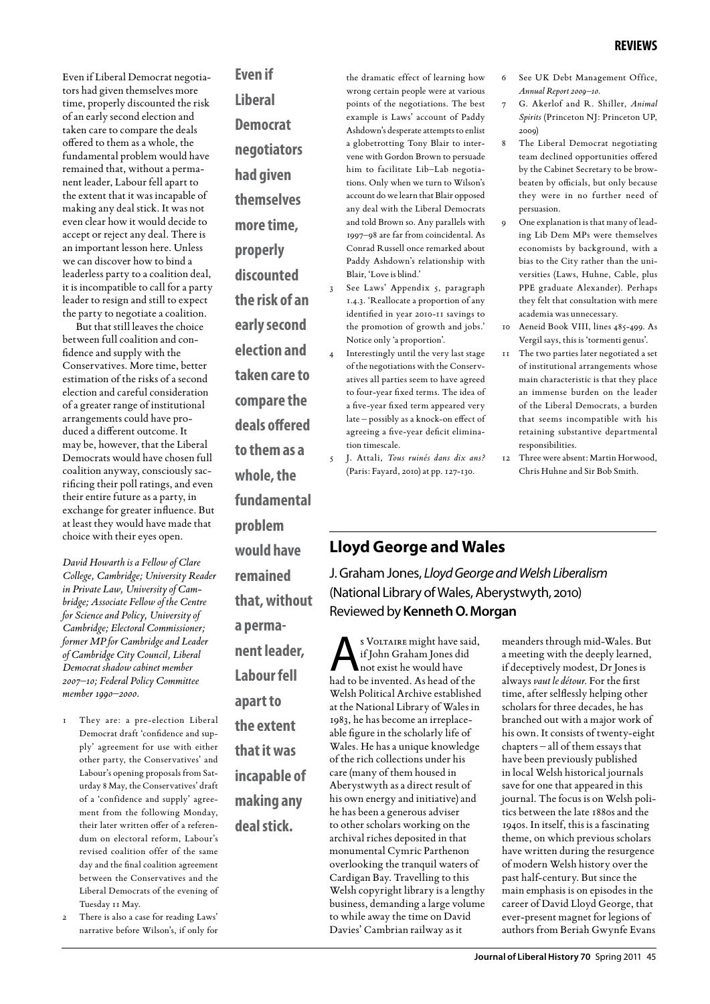Even if Liberal Democrat negotiators had given themselves more time, properly discounted the risk of an early second election and taken care to compare the deals offered to them as a whole, the fundamental problem would have remained that, without a permanent leader, Labour fell apart to the extent that it was incapable of making any deal stick. It was not even clear how it would decide to accept or reject any deal. There is an important lesson here. Unless we can discover how to bind a leaderless party to a coalition deal, it is incompatible to call for a party leader to resign and still to expect the party to negotiate a coalition.

But that still leaves the choice between full coalition and confidence and supply with the Conservatives. More time, better estimation of the risks of a second election and careful consideration of a greater range of institutional arrangements could have produced a different outcome. It may be, however, that the Liberal Democrats would have chosen full coalition anyway, consciously sacrificing their poll ratings, and even their entire future as a party, in exchange for greater influence. But at least they would have made that choice with their eyes open.

*David Howarth is a Fellow of Clare College, Cambridge; University Reader in Private Law, University of Cambridge; Associate Fellow of the Centre for Science and Policy, University of Cambridge; Electoral Commissioner; former MP for Cambridge and Leader of Cambridge City Council, Liberal Democrat shadow cabinet member 2007–10; Federal Policy Committee member 1990–2000.*

- They are: a pre-election Liberal Democrat draft 'confidence and supply' agreement for use with either other party, the Conservatives' and Labour's opening proposals from Saturday 8 May, the Conservatives' draft of a 'confidence and supply' agreement from the following Monday, their later written offer of a referendum on electoral reform, Labour's revised coalition offer of the same day and the final coalition agreement between the Conservatives and the Liberal Democrats of the evening of Tuesday 11 May.
- There is also a case for reading Laws' narrative before Wilson's, if only for

**Even if Liberal Democrat negotiators had given themselves more time, properly discounted the risk of an early second election and taken care to compare the deals offered to them as a whole, the fundamental problem would have remained that, without a permanent leader, Labour fell apart to the extent that it was incapable of making any deal stick.**

the dramatic effect of learning how wrong certain people were at various points of the negotiations. The best example is Laws' account of Paddy Ashdown's desperate attempts to enlist a globetrotting Tony Blair to intervene with Gordon Brown to persuade him to facilitate Lib–Lab negotiations. Only when we turn to Wilson's account do we learn that Blair opposed any deal with the Liberal Democrats and told Brown so. Any parallels with 1997–98 are far from coincidental. As Conrad Russell once remarked about Paddy Ashdown's relationship with Blair, 'Love is blind.'

- See Laws' Appendix 5, paragraph 1.4.3. 'Reallocate a proportion of any identified in year 2010-11 savings to the promotion of growth and jobs.' Notice only 'a proportion'.
- Interestingly until the very last stage of the negotiations with the Conservatives all parties seem to have agreed to four-year fixed terms. The idea of a five-year fixed term appeared very late – possibly as a knock-on effect of agreeing a five-year deficit elimination timescale.
- 5 J. Attali, *Tous ruinés dans dix ans?* (Paris: Fayard, 2010) at pp. 127-130.
- 6 See UK Debt Management Office, *Annual Report 2009–10.*
- 7 G. Akerlof and R. Shiller, *Animal Spirits* (Princeton NJ: Princeton UP, 2009)
- The Liberal Democrat negotiating team declined opportunities offered by the Cabinet Secretary to be browbeaten by officials, but only because they were in no further need of persuasion.
- 9 One explanation is that many of leading Lib Dem MPs were themselves economists by background, with a bias to the City rather than the universities (Laws, Huhne, Cable, plus PPE graduate Alexander). Perhaps they felt that consultation with mere academia was unnecessary.
- 10 Aeneid Book VIII, lines 485-499. As Vergil says, this is 'tormenti genus'.
- 11 The two parties later negotiated a set of institutional arrangements whose main characteristic is that they place an immense burden on the leader of the Liberal Democrats, a burden that seems incompatible with his retaining substantive departmental responsibilities.
- 12 Three were absent: Martin Horwood, Chris Huhne and Sir Bob Smith.

# **Lloyd George and Wales**

J. Graham Jones, *Lloyd George and Welsh Liberalism* (National Library of Wales, Aberystwyth, 2010) Reviewed by **Kenneth O. Morgan**

s VOLTAIRE might have said, if John Graham Jones did not exist he would have had to be invented. As head of the Welsh Political Archive established at the National Library of Wales in 1983, he has become an irreplaceable figure in the scholarly life of Wales. He has a unique knowledge of the rich collections under his care (many of them housed in Aberystwyth as a direct result of his own energy and initiative) and he has been a generous adviser to other scholars working on the archival riches deposited in that monumental Cymric Parthenon overlooking the tranquil waters of Cardigan Bay. Travelling to this Welsh copyright library is a lengthy business, demanding a large volume to while away the time on David Davies' Cambrian railway as it

meanders through mid-Wales. But a meeting with the deeply learned, if deceptively modest, Dr Jones is always *vaut le détour*. For the first time, after selflessly helping other scholars for three decades, he has branched out with a major work of his own. It consists of twenty-eight chapters – all of them essays that have been previously published in local Welsh historical journals save for one that appeared in this journal. The focus is on Welsh politics between the late 1880s and the 1940s. In itself, this is a fascinating theme, on which previous scholars have written during the resurgence of modern Welsh history over the past half-century. But since the main emphasis is on episodes in the career of David Lloyd George, that ever-present magnet for legions of authors from Beriah Gwynfe Evans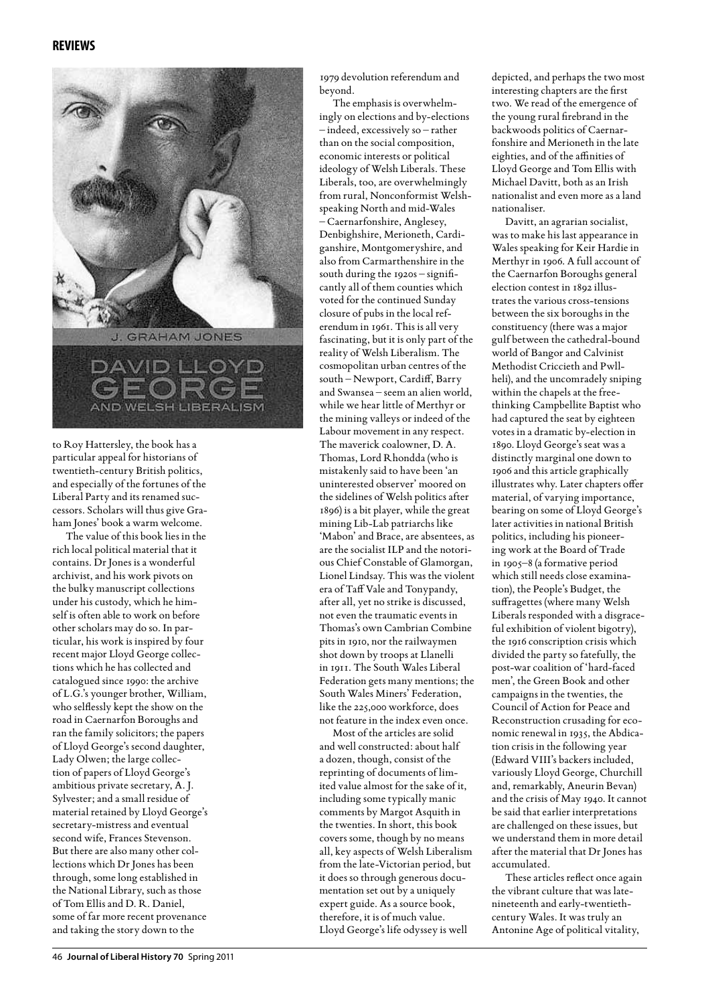

to Roy Hattersley, the book has a particular appeal for historians of twentieth-century British politics, and especially of the fortunes of the Liberal Party and its renamed successors. Scholars will thus give Graham Jones' book a warm welcome.

The value of this book lies in the rich local political material that it contains. Dr Jones is a wonderful archivist, and his work pivots on the bulky manuscript collections under his custody, which he himself is often able to work on before other scholars may do so. In particular, his work is inspired by four recent major Lloyd George collections which he has collected and catalogued since 1990: the archive of L.G.'s younger brother, William, who selflessly kept the show on the road in Caernarfon Boroughs and ran the family solicitors; the papers of Lloyd George's second daughter, Lady Olwen; the large collection of papers of Lloyd George's ambitious private secretary, A. J. Sylvester; and a small residue of material retained by Lloyd George's secretary-mistress and eventual second wife, Frances Stevenson. But there are also many other collections which Dr Jones has been through, some long established in the National Library, such as those of Tom Ellis and D. R. Daniel, some of far more recent provenance and taking the story down to the

1979 devolution referendum and beyond.

The emphasis is overwhelmingly on elections and by-elections – indeed, excessively so – rather than on the social composition, economic interests or political ideology of Welsh Liberals. These Liberals, too, are overwhelmingly from rural, Nonconformist Welshspeaking North and mid-Wales – Caernarfonshire, Anglesey, Denbighshire, Merioneth, Cardiganshire, Montgomeryshire, and also from Carmarthenshire in the south during the 1920s – significantly all of them counties which voted for the continued Sunday closure of pubs in the local referendum in 1961. This is all very fascinating, but it is only part of the reality of Welsh Liberalism. The cosmopolitan urban centres of the south – Newport, Cardiff, Barry and Swansea – seem an alien world, while we hear little of Merthyr or the mining valleys or indeed of the Labour movement in any respect. The maverick coalowner, D. A. Thomas, Lord Rhondda (who is mistakenly said to have been 'an uninterested observer' moored on the sidelines of Welsh politics after 1896) is a bit player, while the great mining Lib-Lab patriarchs like 'Mabon' and Brace, are absentees, as are the socialist ILP and the notorious Chief Constable of Glamorgan, Lionel Lindsay. This was the violent era of Taff Vale and Tonypandy, after all, yet no strike is discussed, not even the traumatic events in Thomas's own Cambrian Combine pits in 1910, nor the railwaymen shot down by troops at Llanelli in 1911. The South Wales Liberal Federation gets many mentions; the South Wales Miners' Federation, like the 225,000 workforce, does not feature in the index even once.

Most of the articles are solid and well constructed: about half a dozen, though, consist of the reprinting of documents of limited value almost for the sake of it, including some typically manic comments by Margot Asquith in the twenties. In short, this book covers some, though by no means all, key aspects of Welsh Liberalism from the late-Victorian period, but it does so through generous documentation set out by a uniquely expert guide. As a source book, therefore, it is of much value. Lloyd George's life odyssey is well

depicted, and perhaps the two most interesting chapters are the first two. We read of the emergence of the young rural firebrand in the backwoods politics of Caernarfonshire and Merioneth in the late eighties, and of the affinities of Lloyd George and Tom Ellis with Michael Davitt, both as an Irish nationalist and even more as a land nationaliser.

Davitt, an agrarian socialist, was to make his last appearance in Wales speaking for Keir Hardie in Merthyr in 1906. A full account of the Caernarfon Boroughs general election contest in 1892 illustrates the various cross-tensions between the six boroughs in the constituency (there was a major gulf between the cathedral-bound world of Bangor and Calvinist Methodist Criccieth and Pwllheli), and the uncomradely sniping within the chapels at the freethinking Campbellite Baptist who had captured the seat by eighteen votes in a dramatic by-election in 1890. Lloyd George's seat was a distinctly marginal one down to 1906 and this article graphically illustrates why. Later chapters offer material, of varying importance, bearing on some of Lloyd George's later activities in national British politics, including his pioneering work at the Board of Trade in 1905–8 (a formative period which still needs close examination), the People's Budget, the suffragettes (where many Welsh Liberals responded with a disgraceful exhibition of violent bigotry), the 1916 conscription crisis which divided the party so fatefully, the post-war coalition of 'hard-faced men', the Green Book and other campaigns in the twenties, the Council of Action for Peace and Reconstruction crusading for economic renewal in 1935, the Abdication crisis in the following year (Edward VIII's backers included, variously Lloyd George, Churchill and, remarkably, Aneurin Bevan) and the crisis of May 1940. It cannot be said that earlier interpretations are challenged on these issues, but we understand them in more detail after the material that Dr Jones has accumulated.

These articles reflect once again the vibrant culture that was latenineteenth and early-twentiethcentury Wales. It was truly an Antonine Age of political vitality,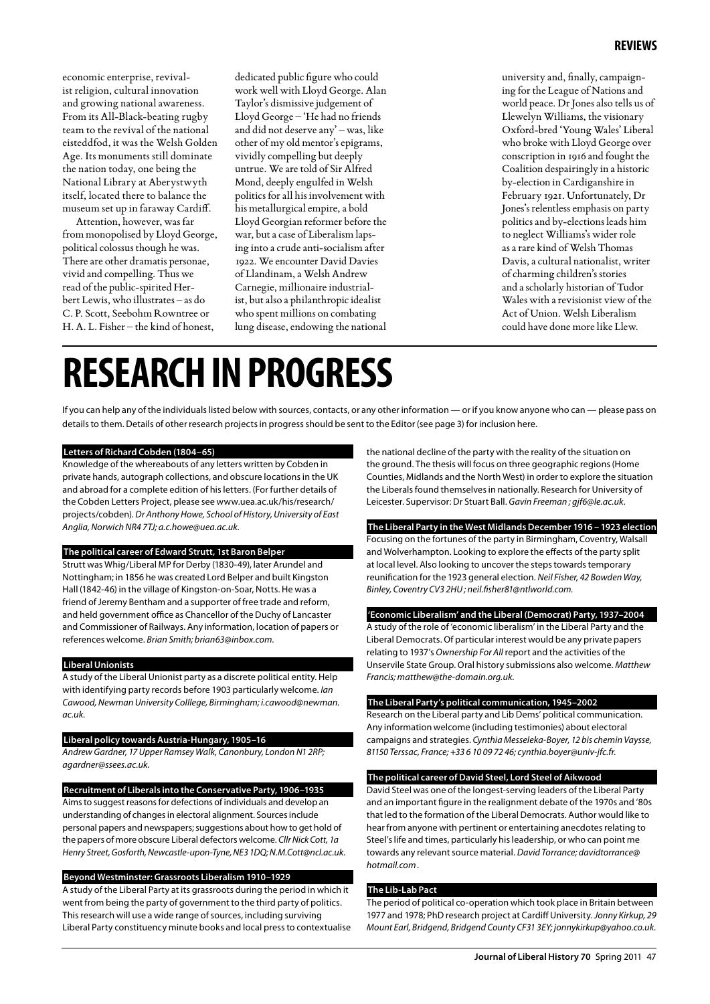economic enterprise, revivalist religion, cultural innovation and growing national awareness. From its All-Black-beating rugby team to the revival of the national eisteddfod, it was the Welsh Golden Age. Its monuments still dominate the nation today, one being the National Library at Aberystwyth itself, located there to balance the museum set up in faraway Cardiff.

Attention, however, was far from monopolised by Lloyd George, political colossus though he was. There are other dramatis personae, vivid and compelling. Thus we read of the public-spirited Herbert Lewis, who illustrates – as do C. P. Scott, Seebohm Rowntree or H. A. L. Fisher – the kind of honest,

dedicated public figure who could work well with Lloyd George. Alan Taylor's dismissive judgement of Lloyd George – 'He had no friends and did not deserve any' – was, like other of my old mentor's epigrams, vividly compelling but deeply untrue. We are told of Sir Alfred Mond, deeply engulfed in Welsh politics for all his involvement with his metallurgical empire, a bold Lloyd Georgian reformer before the war, but a case of Liberalism lapsing into a crude anti-socialism after 1922. We encounter David Davies of Llandinam, a Welsh Andrew Carnegie, millionaire industrialist, but also a philanthropic idealist who spent millions on combating lung disease, endowing the national

university and, finally, campaigning for the League of Nations and world peace. Dr Jones also tells us of Llewelyn Williams, the visionary Oxford-bred 'Young Wales' Liberal who broke with Lloyd George over conscription in 1916 and fought the Coalition despairingly in a historic by-election in Cardiganshire in February 1921. Unfortunately, Dr Jones's relentless emphasis on party politics and by-elections leads him to neglect Williams's wider role as a rare kind of Welsh Thomas Davis, a cultural nationalist, writer of charming children's stories and a scholarly historian of Tudor Wales with a revisionist view of the Act of Union. Welsh Liberalism could have done more like Llew.

# **RESEARCH INPROGRESS**

If you can help any of the individuals listed below with sources, contacts, or any other information — or if you know anyone who can — please pass on details to them. Details of other research projects in progress should be sent to the Editor (see page 3) for inclusion here.

### **Letters of Richard Cobden (1804–65)**

Knowledge of the whereabouts of any letters written by Cobden in private hands, autograph collections, and obscure locations in the UK and abroad for a complete edition of his letters. (For further details of the Cobden Letters Project, please see www.uea.ac.uk/his/research/ projects/cobden). *Dr Anthony Howe, School of History, University of East Anglia, Norwich NR4 7TJ; a.c.howe@uea.ac.uk.*

## **The political career of Edward Strutt, 1st Baron Belper**

Strutt was Whig/Liberal MP for Derby (1830-49), later Arundel and Nottingham; in 1856 he was created Lord Belper and built Kingston Hall (1842-46) in the village of Kingston-on-Soar, Notts. He was a friend of Jeremy Bentham and a supporter of free trade and reform, and held government office as Chancellor of the Duchy of Lancaster and Commissioner of Railways. Any information, location of papers or references welcome. *Brian Smith; brian63@inbox.com.*

### **Liberal Unionists**

A study of the Liberal Unionist party as a discrete political entity. Help with identifying party records before 1903 particularly welcome. *Ian Cawood, Newman University Colllege, Birmingham; i.cawood@newman. ac.uk.*

#### **Liberal policy towards Austria-Hungary, 1905–16**

*Andrew Gardner, 17 Upper Ramsey Walk, Canonbury, London N1 2RP; agardner@ssees.ac.uk.*

# **Recruitment of Liberals into the Conservative Party, 1906–1935**

Aims to suggest reasons for defections of individuals and develop an understanding of changes in electoral alignment. Sources include personal papers and newspapers; suggestions about how to get hold of the papers of more obscure Liberal defectors welcome. *Cllr Nick Cott, 1a Henry Street, Gosforth, Newcastle-upon-Tyne, NE3 1DQ; N.M.Cott@ncl.ac.uk.*

# **Beyond Westminster: Grassroots Liberalism 1910–1929**

A study of the Liberal Party at its grassroots during the period in which it went from being the party of government to the third party of politics. This research will use a wide range of sources, including surviving Liberal Party constituency minute books and local press to contextualise the national decline of the party with the reality of the situation on the ground. The thesis will focus on three geographic regions (Home Counties, Midlands and the North West) in order to explore the situation the Liberals found themselves in nationally. Research for University of Leicester. Supervisor: Dr Stuart Ball. *Gavin Freeman ; gjf6@le.ac.uk.*

# **The Liberal Party in the West Midlands December 1916 – 1923 election**

Focusing on the fortunes of the party in Birmingham, Coventry, Walsall and Wolverhampton. Looking to explore the effects of the party split at local level. Also looking to uncover the steps towards temporary reunification for the 1923 general election. *Neil Fisher, 42 Bowden Way, Binley, Coventry CV3 2HU ; neil.fisher81@ntlworld.com.*

# **'Economic Liberalism' and the Liberal (Democrat) Party, 1937–2004**

A study of the role of 'economic liberalism' in the Liberal Party and the Liberal Democrats. Of particular interest would be any private papers relating to 1937's *Ownership For All* report and the activities of the Unservile State Group. Oral history submissions also welcome. *Matthew Francis; matthew@the-domain.org.uk.*

#### **The Liberal Party's political communication, 1945–2002**

Research on the Liberal party and Lib Dems' political communication. Any information welcome (including testimonies) about electoral campaigns and strategies. *Cynthia Messeleka-Boyer, 12 bis chemin Vaysse, 81150 Terssac, France; +33 6 10 09 72 46; cynthia.boyer@univ-jfc.fr.*

# **The political career of David Steel, Lord Steel of Aikwood**

David Steel was one of the longest-serving leaders of the Liberal Party and an important figure in the realignment debate of the 1970s and '80s that led to the formation of the Liberal Democrats. Author would like to hear from anyone with pertinent or entertaining anecdotes relating to Steel's life and times, particularly his leadership, or who can point me towards any relevant source material. *David Torrance; davidtorrance@ hotmail.com .*

#### **The Lib-Lab Pact**

The period of political co-operation which took place in Britain between 1977 and 1978; PhD research project at Cardiff University. *Jonny Kirkup, 29 Mount Earl, Bridgend, Bridgend County CF31 3EY; jonnykirkup@yahoo.co.uk.*